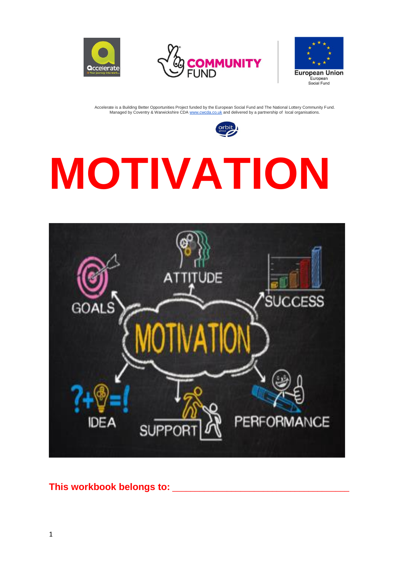







# **MOTIVATION**



This workbook belongs to: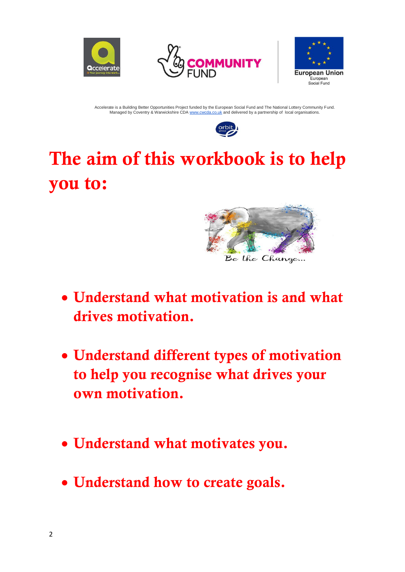







# The aim of this workbook is to help you to:



- Understand what motivation is and what drives motivation.
- Understand different types of motivation to help you recognise what drives your own motivation.
- Understand what motivates you.
- Understand how to create goals.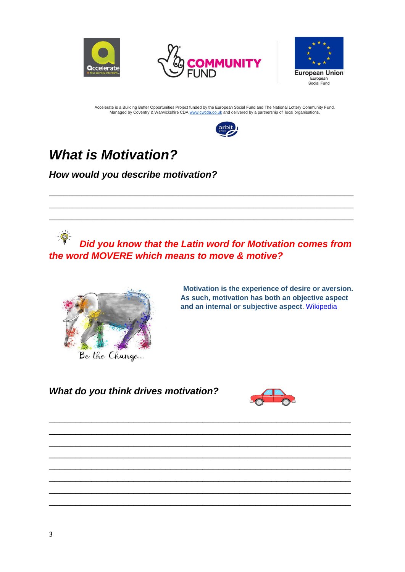







## *What is Motivation?*

*How would you describe motivation?*

 $\overline{(\mathcal{C})}$ *Did you know that the Latin word for Motivation comes from the word MOVERE which means to move & motive?*

\_\_\_\_\_\_\_\_\_\_\_\_\_\_\_\_\_\_\_\_\_\_\_\_\_\_\_\_\_\_\_\_\_\_\_\_\_\_\_\_\_\_\_\_\_\_\_\_\_\_\_\_\_\_\_\_\_ \_\_\_\_\_\_\_\_\_\_\_\_\_\_\_\_\_\_\_\_\_\_\_\_\_\_\_\_\_\_\_\_\_\_\_\_\_\_\_\_\_\_\_\_\_\_\_\_\_\_\_\_\_\_\_\_\_ \_\_\_\_\_\_\_\_\_\_\_\_\_\_\_\_\_\_\_\_\_\_\_\_\_\_\_\_\_\_\_\_\_\_\_\_\_\_\_\_\_\_\_\_\_\_\_\_\_\_\_\_\_\_\_\_\_ \_\_\_\_\_\_\_\_\_\_\_\_\_\_\_\_\_\_\_\_\_\_\_\_\_\_\_\_\_\_\_\_\_\_\_\_\_\_\_\_\_\_\_\_\_\_\_\_\_\_\_\_\_\_\_\_\_ \_\_\_\_\_\_\_\_\_\_\_\_\_\_\_\_\_\_\_\_\_\_\_\_\_\_\_\_\_\_\_\_\_\_\_\_\_\_\_\_\_\_\_\_\_\_\_\_\_\_\_\_\_\_\_\_\_ \_\_\_\_\_\_\_\_\_\_\_\_\_\_\_\_\_\_\_\_\_\_\_\_\_\_\_\_\_\_\_\_\_\_\_\_\_\_\_\_\_\_\_\_\_\_\_\_\_\_\_\_\_\_\_\_\_ \_\_\_\_\_\_\_\_\_\_\_\_\_\_\_\_\_\_\_\_\_\_\_\_\_\_\_\_\_\_\_\_\_\_\_\_\_\_\_\_\_\_\_\_\_\_\_\_\_\_\_\_\_\_\_\_\_ \_\_\_\_\_\_\_\_\_\_\_\_\_\_\_\_\_\_\_\_\_\_\_\_\_\_\_\_\_\_\_\_\_\_\_\_\_\_\_\_\_\_\_\_\_\_\_\_\_\_\_\_\_\_\_\_\_

*\_\_\_\_\_\_\_\_\_\_\_\_\_\_\_\_\_\_\_\_\_\_\_\_\_\_\_\_\_\_\_\_\_\_\_\_\_\_\_\_\_\_\_\_\_\_\_\_\_\_\_\_\_\_\_\_\_\_\_\_\_\_\_\_ \_\_\_\_\_\_\_\_\_\_\_\_\_\_\_\_\_\_\_\_\_\_\_\_\_\_\_\_\_\_\_\_\_\_\_\_\_\_\_\_\_\_\_\_\_\_\_\_\_\_\_\_\_\_\_\_\_\_\_\_\_\_\_\_ \_\_\_\_\_\_\_\_\_\_\_\_\_\_\_\_\_\_\_\_\_\_\_\_\_\_\_\_\_\_\_\_\_\_\_\_\_\_\_\_\_\_\_\_\_\_\_\_\_\_\_\_\_\_\_\_\_\_\_\_\_\_\_\_*



Be the Change...

**Motivation is the experience of desire or aversion. As such, motivation has both an objective aspect and an internal or subjective aspect**. [Wikipedia](https://en.wikipedia.org/wiki/Motivation)



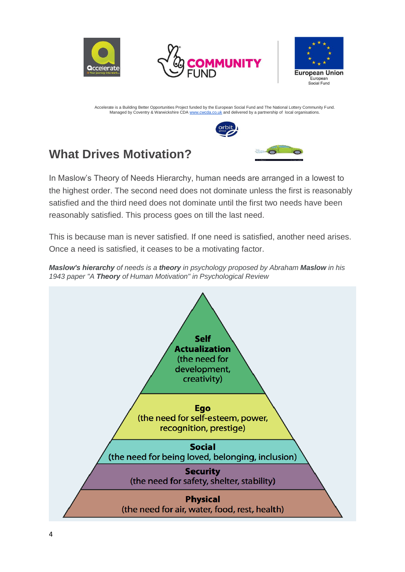







## **What Drives Motivation?**

In Maslow's Theory of Needs Hierarchy, human needs are arranged in a lowest to the highest order. The second need does not dominate unless the first is reasonably satisfied and the third need does not dominate until the first two needs have been reasonably satisfied. This process goes on till the last need.

This is because man is never satisfied. If one need is satisfied, another need arises. Once a need is satisfied, it ceases to be a motivating factor.

*Maslow's hierarchy of needs is a theory in psychology proposed by Abraham Maslow in his 1943 paper "A Theory of Human Motivation" in Psychological Review*

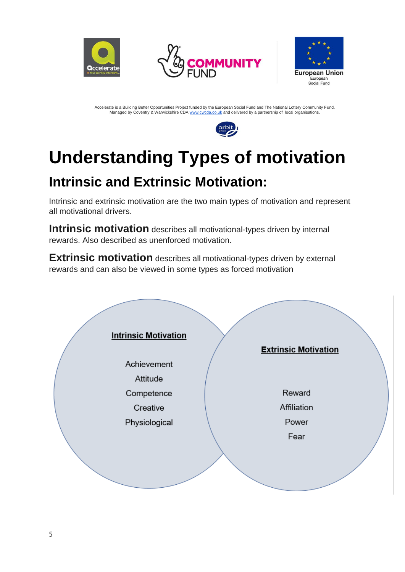







# **Understanding Types of motivation**

## **Intrinsic and Extrinsic Motivation:**

Intrinsic and extrinsic motivation are the two main types of motivation and represent all motivational drivers.

**Intrinsic motivation** describes all motivational-types driven by internal rewards. Also described as unenforced motivation.

**Extrinsic motivation** describes all motivational-types driven by external rewards and can also be viewed in some types as forced motivation

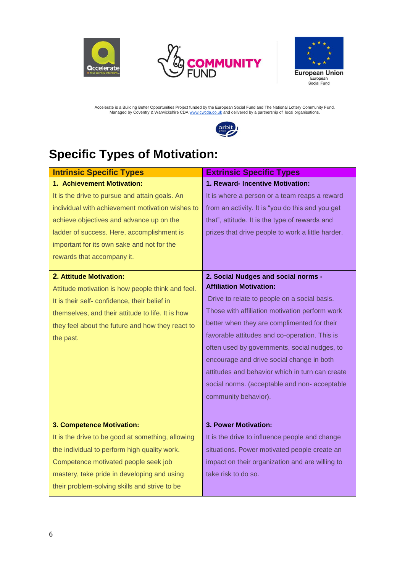





Accelerate is a Building Better Opportunities Project funded by the European Social Fund and The National Lottery Community Fund.<br>Managed by Coventry & Warwickshire CDA [www.cwcda.co.uk](http://www.cwcda.co.uk/) and delivered by a partnership of loc



## **Specific Types of Motivation:**

| <b>Intrinsic Specific Types</b>                   | <b>Extrinsic Specific Types</b>                   |
|---------------------------------------------------|---------------------------------------------------|
| 1. Achievement Motivation:                        | 1. Reward- Incentive Motivation:                  |
| It is the drive to pursue and attain goals. An    | It is where a person or a team reaps a reward     |
| individual with achievement motivation wishes to  | from an activity. It is "you do this and you get  |
| achieve objectives and advance up on the          | that", attitude. It is the type of rewards and    |
| ladder of success. Here, accomplishment is        | prizes that drive people to work a little harder. |
| important for its own sake and not for the        |                                                   |
| rewards that accompany it.                        |                                                   |
| 2. Attitude Motivation:                           | 2. Social Nudges and social norms -               |
| Attitude motivation is how people think and feel. | <b>Affiliation Motivation:</b>                    |
| It is their self- confidence, their belief in     | Drive to relate to people on a social basis.      |
| themselves, and their attitude to life. It is how | Those with affiliation motivation perform work    |
| they feel about the future and how they react to  | better when they are complimented for their       |
| the past.                                         | favorable attitudes and co-operation. This is     |
|                                                   | often used by governments, social nudges, to      |
|                                                   | encourage and drive social change in both         |
|                                                   | attitudes and behavior which in turn can create   |
|                                                   | social norms. (acceptable and non- acceptable     |
|                                                   | community behavior).                              |
|                                                   |                                                   |
| 3. Competence Motivation:                         | 3. Power Motivation:                              |
| It is the drive to be good at something, allowing | It is the drive to influence people and change    |
| the individual to perform high quality work.      | situations. Power motivated people create an      |
| Competence motivated people seek job              | impact on their organization and are willing to   |
| mastery, take pride in developing and using       | take risk to do so.                               |
| their problem-solving skills and strive to be     |                                                   |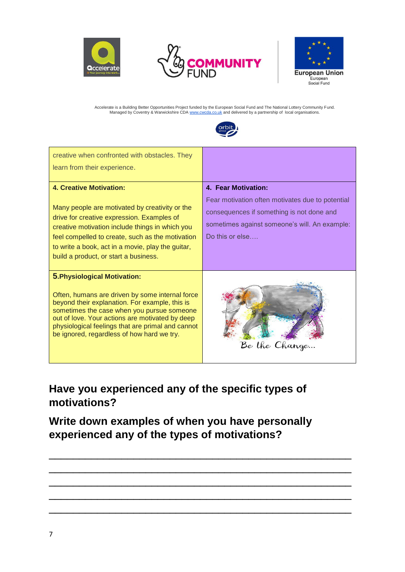





Accelerate is a Building Better Opportunities Project funded by the European Social Fund and The National Lottery Community Fund.<br>Managed by Coventry & Warwickshire CDA [www.cwcda.co.uk](http://www.cwcda.co.uk/) and delivered by a partnership of loc



| creative when confronted with obstacles. They<br>learn from their experience.                                                                                                                                                                                                                                                                |                                                                                                                                                                                            |
|----------------------------------------------------------------------------------------------------------------------------------------------------------------------------------------------------------------------------------------------------------------------------------------------------------------------------------------------|--------------------------------------------------------------------------------------------------------------------------------------------------------------------------------------------|
| <b>4. Creative Motivation:</b><br>Many people are motivated by creativity or the<br>drive for creative expression. Examples of<br>creative motivation include things in which you<br>feel compelled to create, such as the motivation<br>to write a book, act in a movie, play the guitar,<br>build a product, or start a business.          | 4. Fear Motivation:<br>Fear motivation often motivates due to potential<br>consequences if something is not done and<br>sometimes against someone's will. An example:<br>Do this or $else$ |
| <b>5. Physiological Motivation:</b><br>Often, humans are driven by some internal force<br>beyond their explanation. For example, this is<br>sometimes the case when you pursue someone<br>out of love. Your actions are motivated by deep<br>physiological feelings that are primal and cannot<br>be ignored, regardless of how hard we try. | Be the Change.                                                                                                                                                                             |

#### **Have you experienced any of the specific types of motivations?**

**Write down examples of when you have personally experienced any of the types of motivations?**

\_\_\_\_\_\_\_\_\_\_\_\_\_\_\_\_\_\_\_\_\_\_\_\_\_\_\_\_\_\_\_\_\_\_\_\_\_\_\_\_\_\_\_\_\_\_\_\_\_\_ \_\_\_\_\_\_\_\_\_\_\_\_\_\_\_\_\_\_\_\_\_\_\_\_\_\_\_\_\_\_\_\_\_\_\_\_\_\_\_\_\_\_\_\_\_\_\_\_\_\_ \_\_\_\_\_\_\_\_\_\_\_\_\_\_\_\_\_\_\_\_\_\_\_\_\_\_\_\_\_\_\_\_\_\_\_\_\_\_\_\_\_\_\_\_\_\_\_\_\_\_ \_\_\_\_\_\_\_\_\_\_\_\_\_\_\_\_\_\_\_\_\_\_\_\_\_\_\_\_\_\_\_\_\_\_\_\_\_\_\_\_\_\_\_\_\_\_\_\_\_\_ \_\_\_\_\_\_\_\_\_\_\_\_\_\_\_\_\_\_\_\_\_\_\_\_\_\_\_\_\_\_\_\_\_\_\_\_\_\_\_\_\_\_\_\_\_\_\_\_\_\_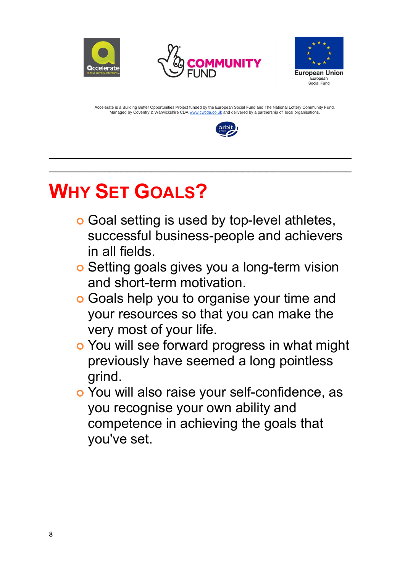





\_\_\_\_\_\_\_\_\_\_\_\_\_\_\_\_\_\_\_\_\_\_\_\_\_\_\_\_\_\_\_\_\_\_\_\_\_\_\_\_\_\_\_\_\_\_\_\_\_\_ \_\_\_\_\_\_\_\_\_\_\_\_\_\_\_\_\_\_\_\_\_\_\_\_\_\_\_\_\_\_\_\_\_\_\_\_\_\_\_\_\_\_\_\_\_\_\_\_\_\_



# **WHY SET GOALS?**

- **o** Goal setting is used by top-level athletes, successful business-people and achievers in all fields.
- **o** Setting goals gives you a long-term vision and short-term motivation.
- Goals help you to organise your time and your resources so that you can make the very most of your life.
- o You will see forward progress in what might previously have seemed a long pointless grind.
- You will also raise your self-confidence, as you recognise your own ability and competence in achieving the goals that you've set.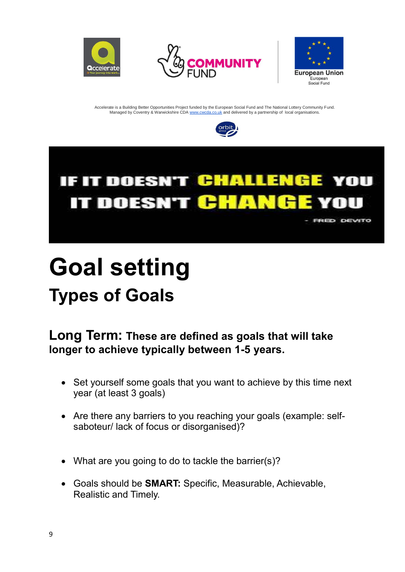









# **Goal setting Types of Goals**

### **Long Term: These are defined as goals that will take longer to achieve typically between 1-5 years.**

- Set yourself some goals that you want to achieve by this time next year (at least 3 goals)
- Are there any barriers to you reaching your goals (example: selfsaboteur/ lack of focus or disorganised)?
- What are you going to do to tackle the barrier(s)?
- Goals should be **SMART:** Specific, Measurable, Achievable, Realistic and Timely.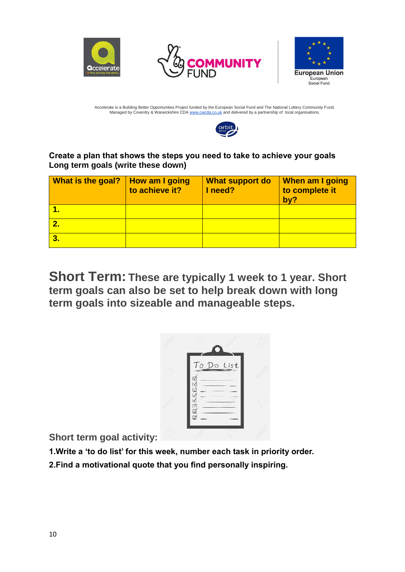







**Create a plan that shows the steps you need to take to achieve your goals Long term goals (write these down)**

| <b>What is the goal?</b> | How am I going<br>to achieve it? | <b>What support do</b><br>Ineed? | When am I going<br>to complete it<br>by? |
|--------------------------|----------------------------------|----------------------------------|------------------------------------------|
|                          |                                  |                                  |                                          |
| $\overline{2}$ .         |                                  |                                  |                                          |
| 3.                       |                                  |                                  |                                          |

**Short Term: These are typically 1 week to 1 year. Short term goals can also be set to help break down with long term goals into sizeable and manageable steps.**

| To Do List |  |
|------------|--|
| RRBEREER   |  |
|            |  |

**Short term goal activity:**

**1.Write a 'to do list' for this week, number each task in priority order.**

**2.Find a motivational quote that you find personally inspiring.**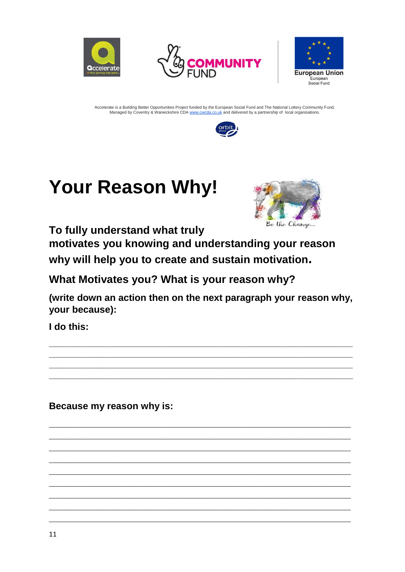







# **Your Reason Why!**



**To fully understand what truly** 

**motivates you knowing and understanding your reason why will help you to create and sustain motivation.**

**What Motivates you? What is your reason why?** 

**(write down an action then on the next paragraph your reason why, your because):**

**\_\_\_\_\_\_\_\_\_\_\_\_\_\_\_\_\_\_\_\_\_\_\_\_\_\_\_\_\_\_\_\_\_\_\_\_\_\_\_\_\_\_\_\_\_\_\_\_\_\_\_\_\_\_\_\_\_\_\_\_\_\_\_\_\_\_\_ \_\_\_\_\_\_\_\_\_\_\_\_\_\_\_\_\_\_\_\_\_\_\_\_\_\_\_\_\_\_\_\_\_\_\_\_\_\_\_\_\_\_\_\_\_\_\_\_\_\_\_\_\_\_\_\_\_\_\_\_\_\_\_\_\_\_\_ \_\_\_\_\_\_\_\_\_\_\_\_\_\_\_\_\_\_\_\_\_\_\_\_\_\_\_\_\_\_\_\_\_\_\_\_\_\_\_\_\_\_\_\_\_\_\_\_\_\_\_\_\_\_\_\_\_\_\_\_\_\_\_\_\_\_\_ \_\_\_\_\_\_\_\_\_\_\_\_\_\_\_\_\_\_\_\_\_\_\_\_\_\_\_\_\_\_\_\_\_\_\_\_\_\_\_\_\_\_\_\_\_\_\_\_\_\_\_\_\_\_\_\_\_\_\_\_\_\_\_\_\_\_\_**

**\_\_\_\_\_\_\_\_\_\_\_\_\_\_\_\_\_\_\_\_\_\_\_\_\_\_\_\_\_\_\_\_\_\_\_\_\_\_\_\_\_\_\_\_\_\_\_\_\_\_\_\_\_\_\_\_\_ \_\_\_\_\_\_\_\_\_\_\_\_\_\_\_\_\_\_\_\_\_\_\_\_\_\_\_\_\_\_\_\_\_\_\_\_\_\_\_\_\_\_\_\_\_\_\_\_\_\_\_\_\_\_\_\_\_ \_\_\_\_\_\_\_\_\_\_\_\_\_\_\_\_\_\_\_\_\_\_\_\_\_\_\_\_\_\_\_\_\_\_\_\_\_\_\_\_\_\_\_\_\_\_\_\_\_\_\_\_\_\_\_\_\_ \_\_\_\_\_\_\_\_\_\_\_\_\_\_\_\_\_\_\_\_\_\_\_\_\_\_\_\_\_\_\_\_\_\_\_\_\_\_\_\_\_\_\_\_\_\_\_\_\_\_\_\_\_\_\_\_\_ \_\_\_\_\_\_\_\_\_\_\_\_\_\_\_\_\_\_\_\_\_\_\_\_\_\_\_\_\_\_\_\_\_\_\_\_\_\_\_\_\_\_\_\_\_\_\_\_\_\_\_\_\_\_\_\_\_ \_\_\_\_\_\_\_\_\_\_\_\_\_\_\_\_\_\_\_\_\_\_\_\_\_\_\_\_\_\_\_\_\_\_\_\_\_\_\_\_\_\_\_\_\_\_\_\_\_\_\_\_\_\_\_\_\_ \_\_\_\_\_\_\_\_\_\_\_\_\_\_\_\_\_\_\_\_\_\_\_\_\_\_\_\_\_\_\_\_\_\_\_\_\_\_\_\_\_\_\_\_\_\_\_\_\_\_\_\_\_\_\_\_\_ \_\_\_\_\_\_\_\_\_\_\_\_\_\_\_\_\_\_\_\_\_\_\_\_\_\_\_\_\_\_\_\_\_\_\_\_\_\_\_\_\_\_\_\_\_\_\_\_\_\_\_\_\_\_\_\_\_ \_\_\_\_\_\_\_\_\_\_\_\_\_\_\_\_\_\_\_\_\_\_\_\_\_\_\_\_\_\_\_\_\_\_\_\_\_\_\_\_\_\_\_\_\_\_\_\_\_\_\_\_\_\_\_\_\_**

**I do this:**

**Because my reason why is:**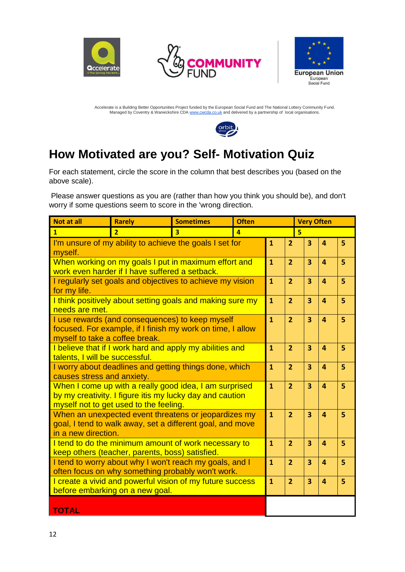







## **How Motivated are you? Self- Motivation Quiz**

For each statement, circle the score in the column that best describes you (based on the above scale).

Please answer questions as you are (rather than how you think you should be), and don't worry if some questions seem to score in the 'wrong direction.

| <b>Not at all</b>                                                                                                                                            | <b>Rarely</b>                                   | <b>Sometimes</b>                                                                                                  | <b>Often</b>            |                                                                                  |                         | <b>Very Often</b>       |                         |                |  |
|--------------------------------------------------------------------------------------------------------------------------------------------------------------|-------------------------------------------------|-------------------------------------------------------------------------------------------------------------------|-------------------------|----------------------------------------------------------------------------------|-------------------------|-------------------------|-------------------------|----------------|--|
| $\overline{1}$                                                                                                                                               | $\overline{2}$                                  | R                                                                                                                 | $\overline{\mathbf{A}}$ |                                                                                  | $\overline{\mathbf{5}}$ |                         |                         |                |  |
| I'm unsure of my ability to achieve the goals I set for<br>myself.                                                                                           |                                                 |                                                                                                                   |                         |                                                                                  |                         | 3                       | 4                       | 5              |  |
|                                                                                                                                                              | work even harder if I have suffered a setback.  | When working on my goals I put in maximum effort and                                                              |                         | $\overline{1}$                                                                   | $\overline{2}$          | 3                       | 4                       | 5              |  |
| I regularly set goals and objectives to achieve my vision<br>for my life.                                                                                    |                                                 |                                                                                                                   |                         |                                                                                  | $\overline{2}$          | 3                       | 4                       | 5              |  |
| I think positively about setting goals and making sure my<br>needs are met.                                                                                  |                                                 |                                                                                                                   |                         |                                                                                  |                         | $\overline{\mathbf{3}}$ | $\overline{a}$          | $\overline{5}$ |  |
| I use rewards (and consequences) to keep myself<br>focused. For example, if I finish my work on time, I allow<br>myself to take a coffee break.              |                                                 |                                                                                                                   |                         |                                                                                  |                         | $\overline{\mathbf{3}}$ | $\Delta$                | 5              |  |
| I believe that if I work hard and apply my abilities and<br>talents, I will be successful.                                                                   |                                                 |                                                                                                                   |                         |                                                                                  | $\overline{2}$          | $\overline{\mathbf{3}}$ | $\overline{4}$          | 5              |  |
| I worry about deadlines and getting things done, which<br>causes stress and anxiety.                                                                         |                                                 |                                                                                                                   |                         |                                                                                  | $\overline{2}$          | 3                       | 4                       | 5              |  |
| When I come up with a really good idea, I am surprised<br>by my creativity. I figure itis my lucky day and caution<br>myself not to get used to the feeling. |                                                 |                                                                                                                   |                         |                                                                                  | $\overline{2}$          | 3                       | 4                       | 5              |  |
| in a new direction.                                                                                                                                          |                                                 | When an unexpected event threatens or jeopardizes my<br>goal, I tend to walk away, set a different goal, and move |                         | $\mathbf{1}$                                                                     | $\overline{2}$          | 3                       | $\overline{a}$          | 5              |  |
|                                                                                                                                                              | keep others (teacher, parents, boss) satisfied. | I tend to do the minimum amount of work necessary to                                                              |                         | $\mathbf{1}$                                                                     | $\overline{2}$          | $\overline{\mathbf{3}}$ | $\overline{\mathbf{4}}$ | 5              |  |
|                                                                                                                                                              |                                                 | I tend to worry about why I won't reach my goals, and I<br>often focus on why something probably won't work.      |                         | $\overline{2}$<br>$\mathbf{1}$<br>$\overline{\mathbf{3}}$<br>$\overline{4}$<br>5 |                         |                         |                         |                |  |
| I create a vivid and powerful vision of my future success<br>before embarking on a new goal.                                                                 |                                                 | $\mathbf{1}$                                                                                                      | $\overline{2}$          | 3                                                                                | 4                       | 5                       |                         |                |  |
| <b>TOTAL</b>                                                                                                                                                 |                                                 |                                                                                                                   |                         |                                                                                  |                         |                         |                         |                |  |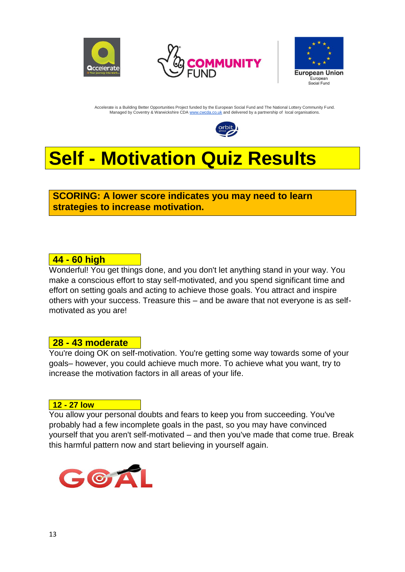







# **Self - Motivation Quiz Results**

**SCORING: A lower score indicates you may need to learn strategies to increase motivation.**

#### **44 - 60 high**

Wonderful! You get things done, and you don't let anything stand in your way. You make a conscious effort to stay self-motivated, and you spend significant time and effort on setting goals and acting to achieve those goals. You attract and inspire others with your success. Treasure this – and be aware that not everyone is as selfmotivated as you are!

#### **28 - 43 moderate**

You're doing OK on self-motivation. You're getting some way towards some of your goals– however, you could achieve much more. To achieve what you want, try to increase the motivation factors in all areas of your life.

#### **12 - 27 low**

You allow your personal doubts and fears to keep you from succeeding. You've probably had a few incomplete goals in the past, so you may have convinced yourself that you aren't self-motivated – and then you've made that come true. Break this harmful pattern now and start believing in yourself again.

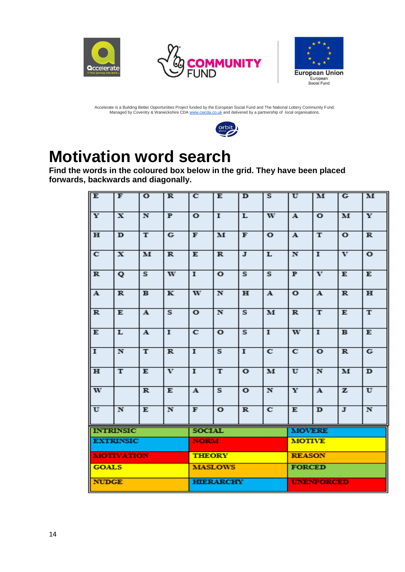





Accelerate is a Building Better Opportunities Project funded by the European Social Fund and The National Lottery Community Fund.<br>Managed by Coventry & Warwickshire CDA [www.cwcda.co.uk](http://www.cwcda.co.uk/) and delivered by a partnership of loc



# **Motivation word search**

**Find the words in the coloured box below in the grid. They have been placed forwards, backwards and diagonally.**

| E                       | F                                                     | ¢                          | $\mathbf{E}$              | $\overline{c}$                 | $\mathbf{E}$            | $\mathbf{D}$                                          | $\mathbf{S}$            | U                        | M                       | $\mathbf{G}$   | M                       |
|-------------------------|-------------------------------------------------------|----------------------------|---------------------------|--------------------------------|-------------------------|-------------------------------------------------------|-------------------------|--------------------------|-------------------------|----------------|-------------------------|
| $\mathbf{Y}$            | $\mathbf{X}$                                          | $\overline{\mathbf{N}}$    | $\overline{\mathbf{F}}$   | $\overline{\mathbf{o}}$        | $\overline{1}$          | $\mathbf L$                                           | W                       | $\mathcal{B}_\mathbf{L}$ | $\mathbf{O}$            | M              | $\mathbf{Y}$            |
| $\overline{\mathbf{H}}$ | $\mathbf{D}$                                          | $\mathbf T$                | G                         | $\mathbf{F}$                   | M                       | $\mathbf{F}$                                          | $\overline{O}$          | $\Delta$                 | $\mathbf{T}$            | $\overline{O}$ | $\overline{\mathbf{R}}$ |
| $\overline{\mathbf{C}}$ | $\overline{\mathbf{x}}$                               | $\mathbf{M}$               | $\mathbf{R}$              | $\overline{\mathbf{E}}$        | $\mathbf{R}$            | $\mathbf{J}$                                          | L                       | $\mathbb{N}$             | $\mathbf{I}$            | $\mathbf{V}$   | $\bullet$               |
| $\mathbf{R}$ .          | Q                                                     | $\mathbf{S}$               | W                         | $\overline{\mathbf{I}}$        | $\overline{\mathbf{O}}$ | $\overline{\mathbf{S}}$                               | $\overline{\mathbf{S}}$ | $\overline{\mathbf{P}}$  | $\mathbf{V}$            | $\mathbf E$    | $\mathbf E$             |
| Α.                      | $\mathbf{R}$ .                                        | $\mathbf{E}$               | $\mathbf{K}$              | W                              | $\overline{\mathbf{N}}$ | $H$ .                                                 | A.                      | $\bullet$                | Α.                      | $\mathbf{R}$   | $\mathbf H$             |
| $\overline{\mathbf{R}}$ | Ъ.                                                    | $\mathcal{B}_{\mathbf{L}}$ | $\Sigma_{\rm F}$          | $\overline{\mathbf{o}}$        | $\overline{\mathbf{N}}$ | $\overline{\mathbf{S}}$                               | M                       | $\mathbf{E}$             | $\mathbf{T}$            | $\mathbf{E}$   | $\mathbf T$             |
| $\mathbf{E}_\mathrm{c}$ | L                                                     | Α.                         | $\mathbb T$               | $\overline{C}$                 | $\overline{O}$          | $\mathbf{S}% _{T}=\mathbf{S}_{T}\times\mathbf{S}_{T}$ | $\overline{1}$          | $\mathbf{W}$             | $\mathbf I$             | $\mathbf{E}$   | $\mathbf{E}_\mathrm{c}$ |
| $\overline{\mathbf{I}}$ | $\overline{\mathbb{N}}$                               | $\mathbf{T}$               | $\overline{\mathbf{R}}$   | $\overline{1}$                 | $\Sigma$                | $\overline{\mathbf{I}}$                               | C                       | c                        | $\overline{\mathbf{o}}$ | $\mathbb R$    | $\overline{G}$          |
| $\mathbf H$             | $\mathbf{T}$                                          | $\mathbf{E}$               | $\mathbf{V}^{\mathbf{r}}$ | $\mathbf I$                    | $\mathbf{T}$            | $\bullet$                                             | M                       | $\overline{\mathbf{U}}$  | $\overline{\mathbb{N}}$ | M              | $\mathbf{D}$            |
| $\overline{\mathbf{w}}$ |                                                       | R.                         | E.                        | $\Delta$                       | S.                      | $\bullet$                                             | N                       | $\overline{\mathbf{X}}$  | Α.                      | $\mathbf{z}_i$ | $\mathbf{U}$            |
| $\mathbf{U}^{\top}$     | N                                                     | $\mathbf{E}$               | $\overline{\mathbb{N}}$   | $\mathbf{F}^-$                 | $\overline{O}$          | $\mathbf{E}$ .                                        | $\mathbb{C}$            | $\mathbf{E}_\text{c}$    | $\mathbf{D}$            | $\mathbf{J}$   | $\mathbb N$             |
|                         | <b>INTRINSIC</b><br><b>SOCIAL</b>                     |                            |                           | <b>MOVERE</b>                  |                         |                                                       |                         |                          |                         |                |                         |
|                         | <b>EXTRINSIC</b>                                      |                            |                           | <b>NORM</b>                    |                         |                                                       |                         | <b>MOTIVE</b>            |                         |                |                         |
|                         | <b>MOTIVATION</b>                                     |                            |                           | <b>REASON</b><br><b>THEORY</b> |                         |                                                       |                         |                          |                         |                |                         |
| <b>GOALS</b>            |                                                       |                            |                           |                                | <b>MASLOWS</b>          |                                                       |                         | <b>FORCED</b>            |                         |                |                         |
|                         | <b>HIERARCHY</b><br><b>NUDGE</b><br><b>UNENFORCED</b> |                            |                           |                                |                         |                                                       |                         |                          |                         |                |                         |